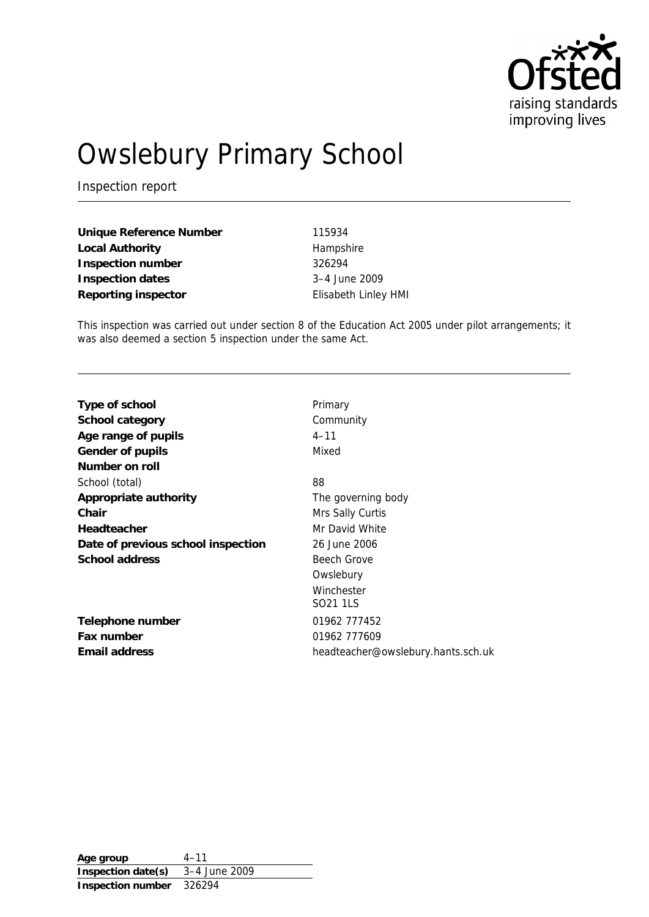

# Owslebury Primary School

Inspection report

**Unique Reference Number** 115934 Local Authority **Hampshire Inspection number** 326294 **Inspection dates** 3–4 June 2009 **Reporting inspector** Elisabeth Linley HMI

This inspection was carried out under section 8 of the Education Act 2005 under pilot arrangements; it was also deemed a section 5 inspection under the same Act.

| Type of school                     | Primary                            |
|------------------------------------|------------------------------------|
| School category                    | Community                          |
| Age range of pupils                | $4 - 11$                           |
| Gender of pupils                   | Mixed                              |
| Number on roll                     |                                    |
| School (total)                     | 88                                 |
| Appropriate authority              | The governing body                 |
| Chair                              | Mrs Sally Curtis                   |
| Headteacher                        | Mr David White                     |
| Date of previous school inspection | 26 June 2006                       |
| School address                     | Beech Grove                        |
|                                    | Owslebury                          |
|                                    | Winchester                         |
|                                    | SO <sub>21</sub> 1LS               |
| Telephone number                   | 01962 777452                       |
| Fax number                         | 01962 777609                       |
| Email address                      | headteacher@owslebury.hants.sch.uk |

**Age group** 4–11 **Inspection date(s)** 3–4 June 2009 **Inspection number** 326294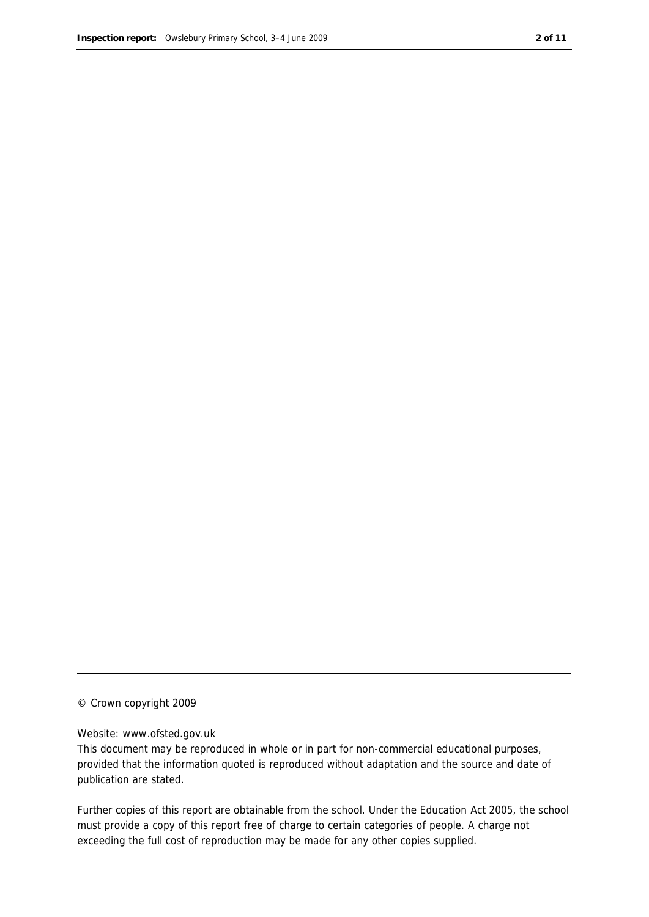#### © Crown copyright 2009

#### Website: www.ofsted.gov.uk

This document may be reproduced in whole or in part for non-commercial educational purposes, provided that the information quoted is reproduced without adaptation and the source and date of publication are stated.

Further copies of this report are obtainable from the school. Under the Education Act 2005, the school must provide a copy of this report free of charge to certain categories of people. A charge not exceeding the full cost of reproduction may be made for any other copies supplied.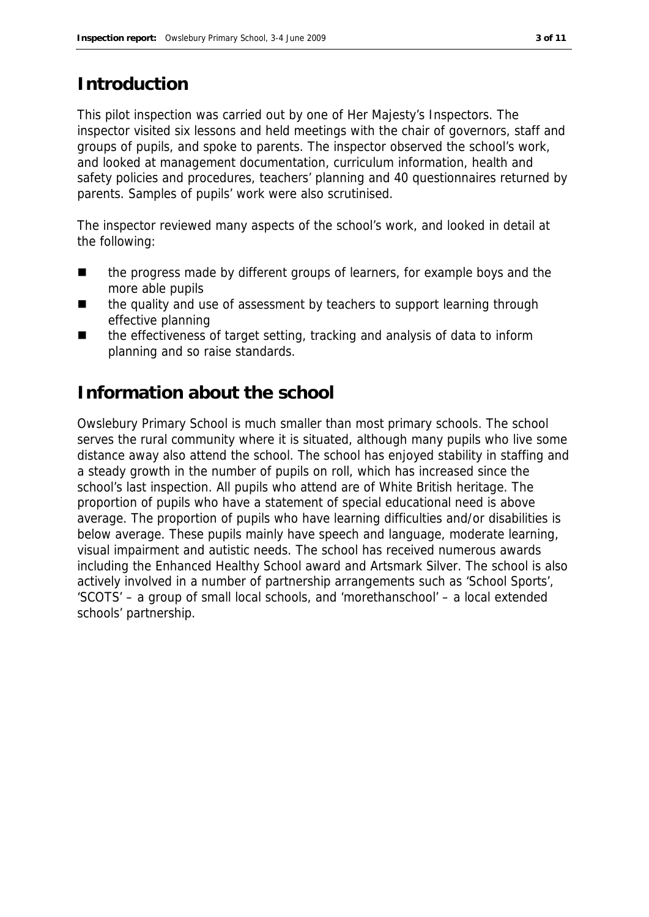## **Introduction**

This pilot inspection was carried out by one of Her Majesty's Inspectors. The inspector visited six lessons and held meetings with the chair of governors, staff and groups of pupils, and spoke to parents. The inspector observed the school's work, and looked at management documentation, curriculum information, health and safety policies and procedures, teachers' planning and 40 questionnaires returned by parents. Samples of pupils' work were also scrutinised.

The inspector reviewed many aspects of the school's work, and looked in detail at the following:

- the progress made by different groups of learners, for example boys and the more able pupils
- the quality and use of assessment by teachers to support learning through effective planning
- the effectiveness of target setting, tracking and analysis of data to inform planning and so raise standards.

## **Information about the school**

Owslebury Primary School is much smaller than most primary schools. The school serves the rural community where it is situated, although many pupils who live some distance away also attend the school. The school has enjoyed stability in staffing and a steady growth in the number of pupils on roll, which has increased since the school's last inspection. All pupils who attend are of White British heritage. The proportion of pupils who have a statement of special educational need is above average. The proportion of pupils who have learning difficulties and/or disabilities is below average. These pupils mainly have speech and language, moderate learning, visual impairment and autistic needs. The school has received numerous awards including the Enhanced Healthy School award and Artsmark Silver. The school is also actively involved in a number of partnership arrangements such as 'School Sports', 'SCOTS' – a group of small local schools, and 'morethanschool' – a local extended schools' partnership.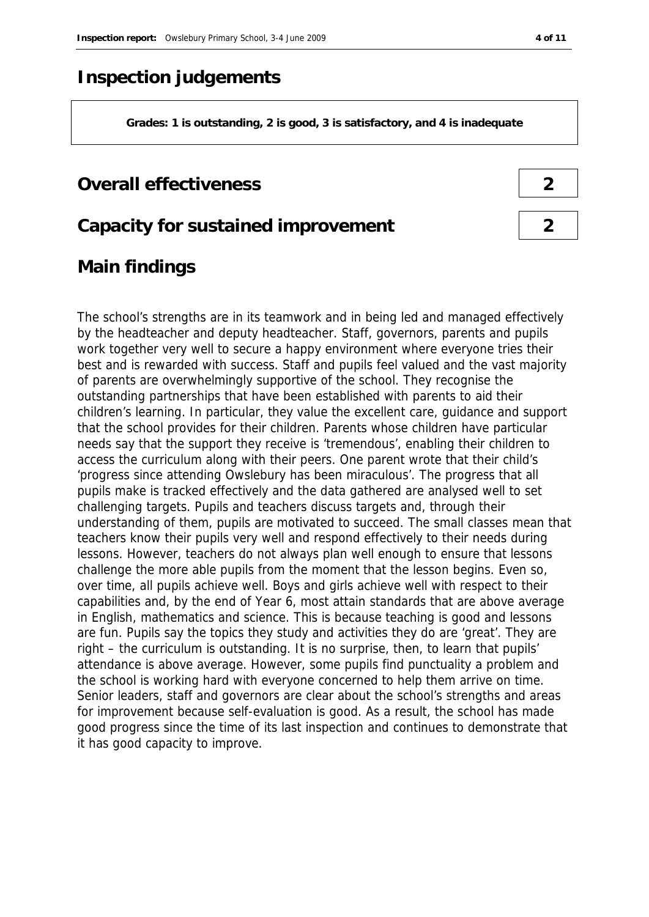## **Inspection judgements**

**Grades: 1 is outstanding, 2 is good, 3 is satisfactory, and 4 is inadequate**

## **Overall effectiveness 2**

**Capacity for sustained improvement 2**

## **Main findings**

The school's strengths are in its teamwork and in being led and managed effectively by the headteacher and deputy headteacher. Staff, governors, parents and pupils work together very well to secure a happy environment where everyone tries their best and is rewarded with success. Staff and pupils feel valued and the vast majority of parents are overwhelmingly supportive of the school. They recognise the outstanding partnerships that have been established with parents to aid their children's learning. In particular, they value the excellent care, guidance and support that the school provides for their children. Parents whose children have particular needs say that the support they receive is 'tremendous', enabling their children to access the curriculum along with their peers. One parent wrote that their child's 'progress since attending Owslebury has been miraculous'. The progress that all pupils make is tracked effectively and the data gathered are analysed well to set challenging targets. Pupils and teachers discuss targets and, through their understanding of them, pupils are motivated to succeed. The small classes mean that teachers know their pupils very well and respond effectively to their needs during lessons. However, teachers do not always plan well enough to ensure that lessons challenge the more able pupils from the moment that the lesson begins. Even so, over time, all pupils achieve well. Boys and girls achieve well with respect to their capabilities and, by the end of Year 6, most attain standards that are above average in English, mathematics and science. This is because teaching is good and lessons are fun. Pupils say the topics they study and activities they do are 'great'. They are right – the curriculum is outstanding. It is no surprise, then, to learn that pupils' attendance is above average. However, some pupils find punctuality a problem and the school is working hard with everyone concerned to help them arrive on time. Senior leaders, staff and governors are clear about the school's strengths and areas for improvement because self-evaluation is good. As a result, the school has made good progress since the time of its last inspection and continues to demonstrate that it has good capacity to improve.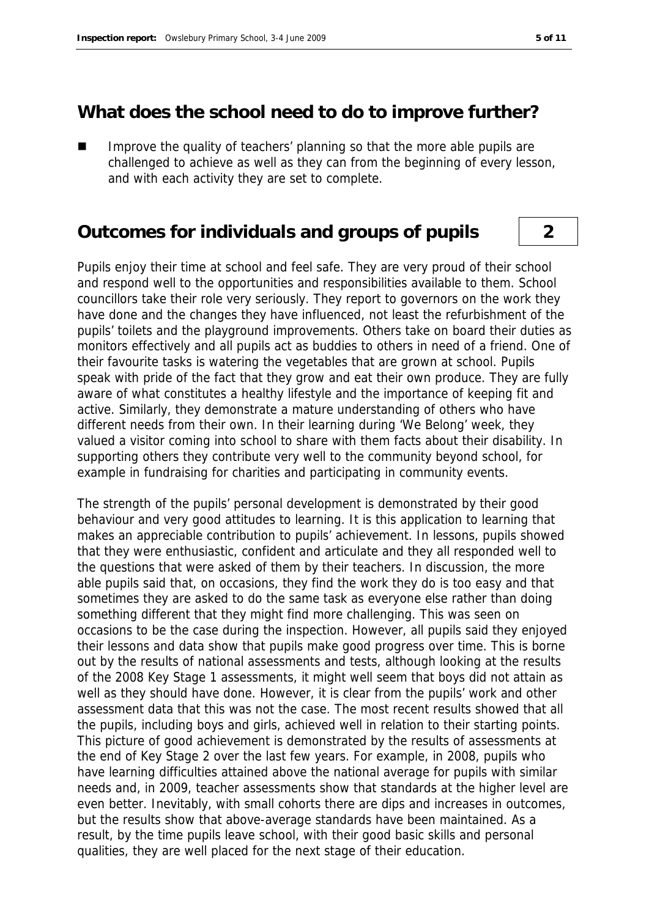#### **What does the school need to do to improve further?**

 Improve the quality of teachers' planning so that the more able pupils are challenged to achieve as well as they can from the beginning of every lesson, and with each activity they are set to complete.

### **Outcomes for individuals and groups of pupils 2**

Pupils enjoy their time at school and feel safe. They are very proud of their school and respond well to the opportunities and responsibilities available to them. School councillors take their role very seriously. They report to governors on the work they have done and the changes they have influenced, not least the refurbishment of the pupils' toilets and the playground improvements. Others take on board their duties as monitors effectively and all pupils act as buddies to others in need of a friend. One of their favourite tasks is watering the vegetables that are grown at school. Pupils speak with pride of the fact that they grow and eat their own produce. They are fully aware of what constitutes a healthy lifestyle and the importance of keeping fit and active. Similarly, they demonstrate a mature understanding of others who have different needs from their own. In their learning during 'We Belong' week, they valued a visitor coming into school to share with them facts about their disability. In supporting others they contribute very well to the community beyond school, for example in fundraising for charities and participating in community events.

The strength of the pupils' personal development is demonstrated by their good behaviour and very good attitudes to learning. It is this application to learning that makes an appreciable contribution to pupils' achievement. In lessons, pupils showed that they were enthusiastic, confident and articulate and they all responded well to the questions that were asked of them by their teachers. In discussion, the more able pupils said that, on occasions, they find the work they do is too easy and that sometimes they are asked to do the same task as everyone else rather than doing something different that they might find more challenging. This was seen on occasions to be the case during the inspection. However, all pupils said they enjoyed their lessons and data show that pupils make good progress over time. This is borne out by the results of national assessments and tests, although looking at the results of the 2008 Key Stage 1 assessments, it might well seem that boys did not attain as well as they should have done. However, it is clear from the pupils' work and other assessment data that this was not the case. The most recent results showed that all the pupils, including boys and girls, achieved well in relation to their starting points. This picture of good achievement is demonstrated by the results of assessments at the end of Key Stage 2 over the last few years. For example, in 2008, pupils who have learning difficulties attained above the national average for pupils with similar needs and, in 2009, teacher assessments show that standards at the higher level are even better. Inevitably, with small cohorts there are dips and increases in outcomes, but the results show that above-average standards have been maintained. As a result, by the time pupils leave school, with their good basic skills and personal qualities, they are well placed for the next stage of their education.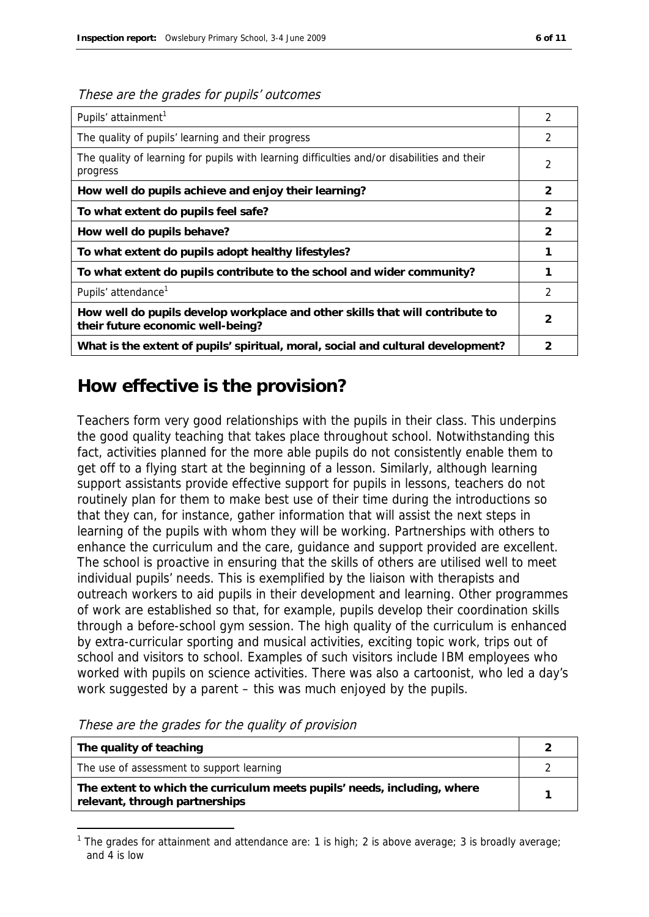| These are the grades for pupils' outcomes |  |
|-------------------------------------------|--|
|-------------------------------------------|--|

| Pupils' attainment <sup>1</sup>                                                                                    |                |  |
|--------------------------------------------------------------------------------------------------------------------|----------------|--|
| The quality of pupils' learning and their progress                                                                 | $\mathfrak{D}$ |  |
| The quality of learning for pupils with learning difficulties and/or disabilities and their<br>progress            |                |  |
| How well do pupils achieve and enjoy their learning?                                                               | 2              |  |
| To what extent do pupils feel safe?                                                                                | 2              |  |
| How well do pupils behave?                                                                                         | $\overline{2}$ |  |
| To what extent do pupils adopt healthy lifestyles?                                                                 |                |  |
| To what extent do pupils contribute to the school and wider community?                                             |                |  |
| Pupils' attendance <sup>1</sup>                                                                                    | $\mathfrak{D}$ |  |
| How well do pupils develop workplace and other skills that will contribute to<br>their future economic well-being? | 2              |  |
| What is the extent of pupils' spiritual, moral, social and cultural development?                                   |                |  |

## **How effective is the provision?**

Teachers form very good relationships with the pupils in their class. This underpins the good quality teaching that takes place throughout school. Notwithstanding this fact, activities planned for the more able pupils do not consistently enable them to get off to a flying start at the beginning of a lesson. Similarly, although learning support assistants provide effective support for pupils in lessons, teachers do not routinely plan for them to make best use of their time during the introductions so that they can, for instance, gather information that will assist the next steps in learning of the pupils with whom they will be working. Partnerships with others to enhance the curriculum and the care, guidance and support provided are excellent. The school is proactive in ensuring that the skills of others are utilised well to meet individual pupils' needs. This is exemplified by the liaison with therapists and outreach workers to aid pupils in their development and learning. Other programmes of work are established so that, for example, pupils develop their coordination skills through a before-school gym session. The high quality of the curriculum is enhanced by extra-curricular sporting and musical activities, exciting topic work, trips out of school and visitors to school. Examples of such visitors include IBM employees who worked with pupils on science activities. There was also a cartoonist, who led a day's work suggested by a parent – this was much enjoyed by the pupils.

| The quality of teaching                                                                                    |  |
|------------------------------------------------------------------------------------------------------------|--|
| The use of assessment to support learning                                                                  |  |
| The extent to which the curriculum meets pupils' needs, including, where<br>relevant, through partnerships |  |

These are the grades for the quality of provision

-

<sup>&</sup>lt;sup>1</sup> The grades for attainment and attendance are: 1 is high; 2 is above average; 3 is broadly average; and 4 is low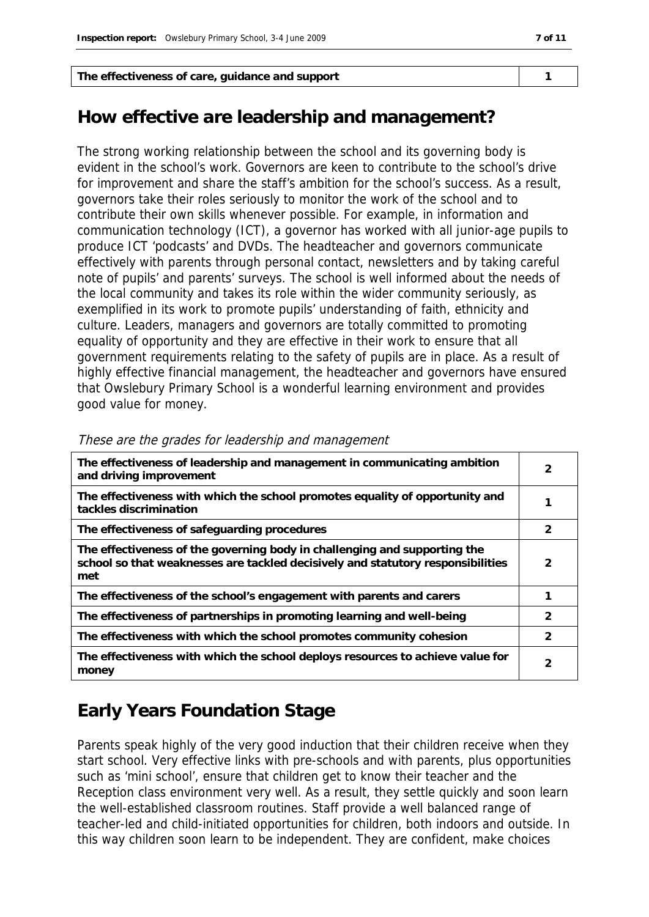The effectiveness of care, guidance and support **1** 1

## **How effective are leadership and management?**

The strong working relationship between the school and its governing body is evident in the school's work. Governors are keen to contribute to the school's drive for improvement and share the staff's ambition for the school's success. As a result, governors take their roles seriously to monitor the work of the school and to contribute their own skills whenever possible. For example, in information and communication technology (ICT), a governor has worked with all junior-age pupils to produce ICT 'podcasts' and DVDs. The headteacher and governors communicate effectively with parents through personal contact, newsletters and by taking careful note of pupils' and parents' surveys. The school is well informed about the needs of the local community and takes its role within the wider community seriously, as exemplified in its work to promote pupils' understanding of faith, ethnicity and culture. Leaders, managers and governors are totally committed to promoting equality of opportunity and they are effective in their work to ensure that all government requirements relating to the safety of pupils are in place. As a result of highly effective financial management, the headteacher and governors have ensured that Owslebury Primary School is a wonderful learning environment and provides good value for money.

| The effectiveness of leadership and management in communicating ambition<br>and driving improvement                                                                 | 2             |
|---------------------------------------------------------------------------------------------------------------------------------------------------------------------|---------------|
| The effectiveness with which the school promotes equality of opportunity and<br>tackles discrimination                                                              |               |
| The effectiveness of safeguarding procedures                                                                                                                        | 2             |
| The effectiveness of the governing body in challenging and supporting the<br>school so that weaknesses are tackled decisively and statutory responsibilities<br>met | 2             |
| The effectiveness of the school's engagement with parents and carers                                                                                                |               |
| The effectiveness of partnerships in promoting learning and well-being                                                                                              | $\mathcal{P}$ |
| The effectiveness with which the school promotes community cohesion                                                                                                 | 2             |
| The effectiveness with which the school deploys resources to achieve value for<br>money                                                                             | 2             |

|  |  |  | These are the grades for leadership and management |
|--|--|--|----------------------------------------------------|
|  |  |  |                                                    |

## **Early Years Foundation Stage**

Parents speak highly of the very good induction that their children receive when they start school. Very effective links with pre-schools and with parents, plus opportunities such as 'mini school', ensure that children get to know their teacher and the Reception class environment very well. As a result, they settle quickly and soon learn the well-established classroom routines. Staff provide a well balanced range of teacher-led and child-initiated opportunities for children, both indoors and outside. In this way children soon learn to be independent. They are confident, make choices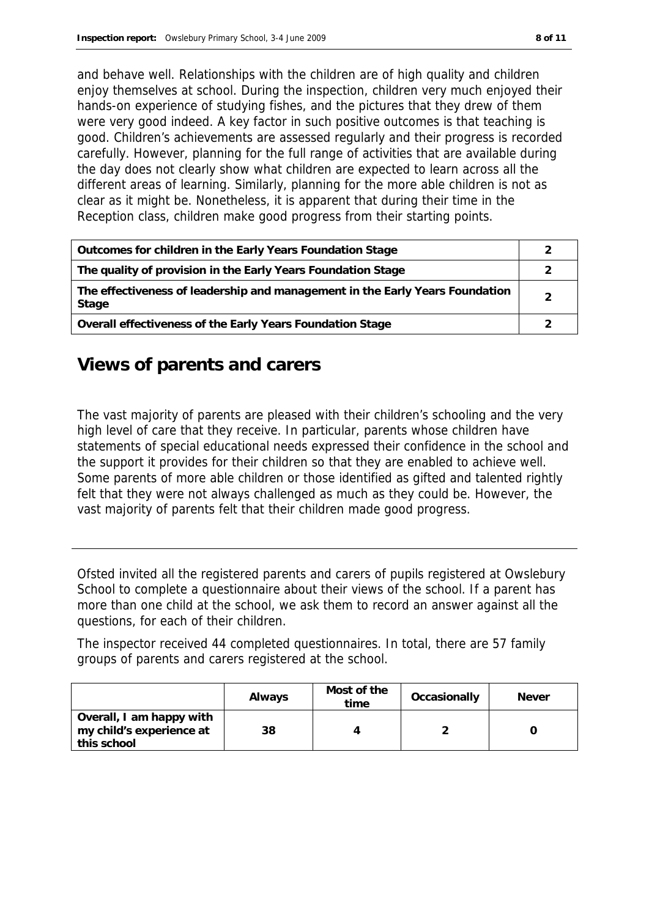and behave well. Relationships with the children are of high quality and children enjoy themselves at school. During the inspection, children very much enjoyed their hands-on experience of studying fishes, and the pictures that they drew of them were very good indeed. A key factor in such positive outcomes is that teaching is good. Children's achievements are assessed regularly and their progress is recorded carefully. However, planning for the full range of activities that are available during the day does not clearly show what children are expected to learn across all the different areas of learning. Similarly, planning for the more able children is not as clear as it might be. Nonetheless, it is apparent that during their time in the Reception class, children make good progress from their starting points.

| Outcomes for children in the Early Years Foundation Stage                             |  |
|---------------------------------------------------------------------------------------|--|
| The quality of provision in the Early Years Foundation Stage                          |  |
| The effectiveness of leadership and management in the Early Years Foundation<br>Stage |  |
| Overall effectiveness of the Early Years Foundation Stage                             |  |

## **Views of parents and carers**

The vast majority of parents are pleased with their children's schooling and the very high level of care that they receive. In particular, parents whose children have statements of special educational needs expressed their confidence in the school and the support it provides for their children so that they are enabled to achieve well. Some parents of more able children or those identified as gifted and talented rightly felt that they were not always challenged as much as they could be. However, the vast majority of parents felt that their children made good progress.

Ofsted invited all the registered parents and carers of pupils registered at Owslebury School to complete a questionnaire about their views of the school. If a parent has more than one child at the school, we ask them to record an answer against all the questions, for each of their children.

The inspector received 44 completed questionnaires. In total, there are 57 family groups of parents and carers registered at the school.

|                                                                     | Always | Most of the<br>time | Occasionally | <b>Never</b> |
|---------------------------------------------------------------------|--------|---------------------|--------------|--------------|
| Overall, I am happy with<br>my child's experience at<br>this school | 38     |                     |              |              |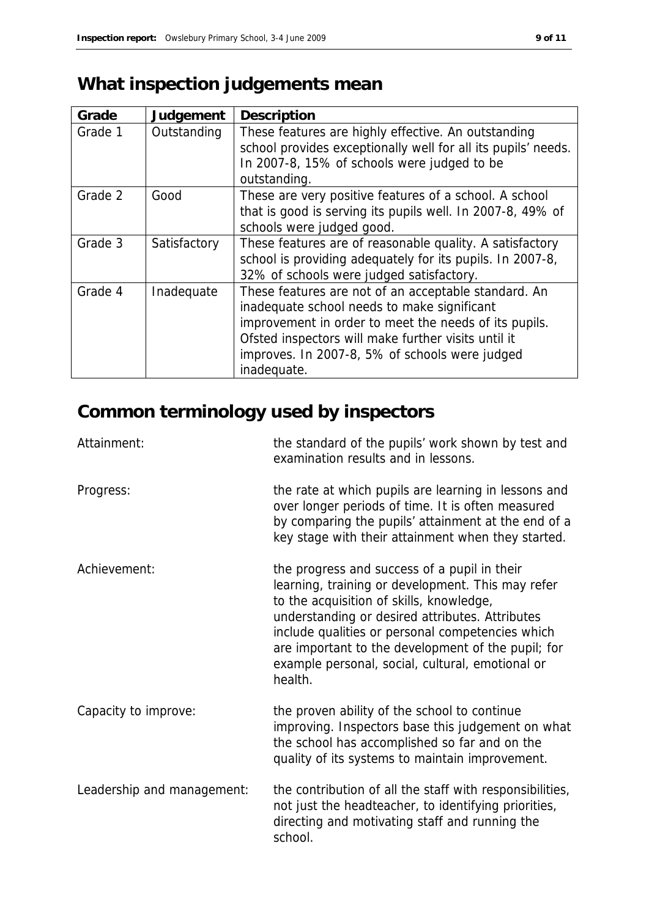# **What inspection judgements mean**

| Grade   | Judgement    | Description                                                                                                                                                                                                                                                                          |
|---------|--------------|--------------------------------------------------------------------------------------------------------------------------------------------------------------------------------------------------------------------------------------------------------------------------------------|
| Grade 1 | Outstanding  | These features are highly effective. An outstanding<br>school provides exceptionally well for all its pupils' needs.<br>In 2007-8, 15% of schools were judged to be<br>outstanding.                                                                                                  |
| Grade 2 | Good         | These are very positive features of a school. A school<br>that is good is serving its pupils well. In 2007-8, 49% of<br>schools were judged good.                                                                                                                                    |
| Grade 3 | Satisfactory | These features are of reasonable quality. A satisfactory<br>school is providing adequately for its pupils. In 2007-8,<br>32% of schools were judged satisfactory.                                                                                                                    |
| Grade 4 | Inadequate   | These features are not of an acceptable standard. An<br>inadequate school needs to make significant<br>improvement in order to meet the needs of its pupils.<br>Ofsted inspectors will make further visits until it<br>improves. In 2007-8, 5% of schools were judged<br>inadequate. |

# **Common terminology used by inspectors**

| Attainment:                | the standard of the pupils' work shown by test and<br>examination results and in lessons.                                                                                                                                                                                                                                                                                 |
|----------------------------|---------------------------------------------------------------------------------------------------------------------------------------------------------------------------------------------------------------------------------------------------------------------------------------------------------------------------------------------------------------------------|
| Progress:                  | the rate at which pupils are learning in lessons and<br>over longer periods of time. It is often measured<br>by comparing the pupils' attainment at the end of a<br>key stage with their attainment when they started.                                                                                                                                                    |
| Achievement:               | the progress and success of a pupil in their<br>learning, training or development. This may refer<br>to the acquisition of skills, knowledge,<br>understanding or desired attributes. Attributes<br>include qualities or personal competencies which<br>are important to the development of the pupil; for<br>example personal, social, cultural, emotional or<br>health. |
| Capacity to improve:       | the proven ability of the school to continue<br>improving. Inspectors base this judgement on what<br>the school has accomplished so far and on the<br>quality of its systems to maintain improvement.                                                                                                                                                                     |
| Leadership and management: | the contribution of all the staff with responsibilities,<br>not just the headteacher, to identifying priorities,<br>directing and motivating staff and running the<br>school.                                                                                                                                                                                             |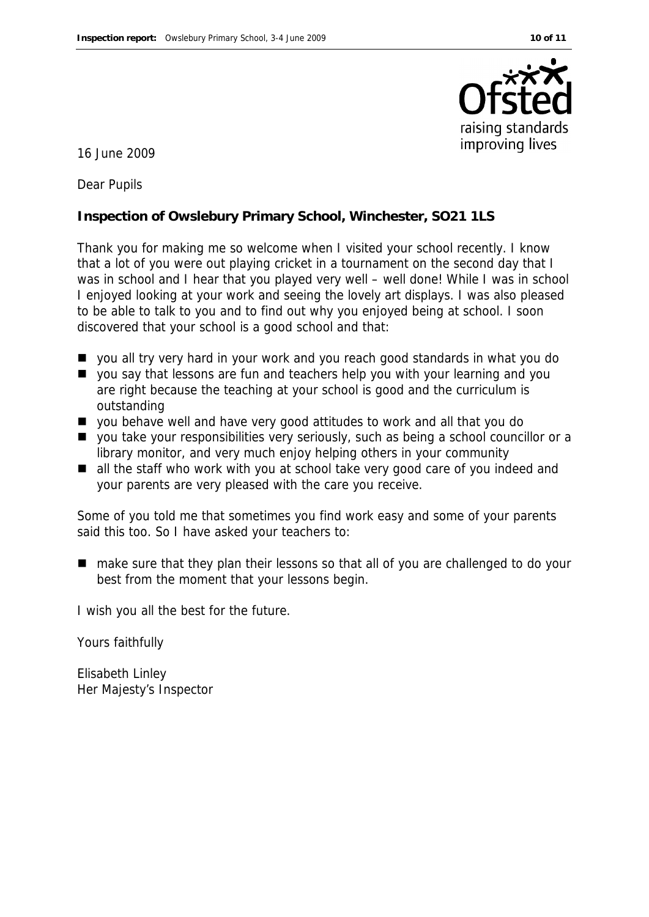

16 June 2009

Dear Pupils

**Inspection of Owslebury Primary School, Winchester, SO21 1LS**

Thank you for making me so welcome when I visited your school recently. I know that a lot of you were out playing cricket in a tournament on the second day that I was in school and I hear that you played very well – well done! While I was in school I enjoyed looking at your work and seeing the lovely art displays. I was also pleased to be able to talk to you and to find out why you enjoyed being at school. I soon discovered that your school is a good school and that:

- you all try very hard in your work and you reach good standards in what you do
- you say that lessons are fun and teachers help you with your learning and you are right because the teaching at your school is good and the curriculum is outstanding
- you behave well and have very good attitudes to work and all that you do
- you take your responsibilities very seriously, such as being a school councillor or a library monitor, and very much enjoy helping others in your community
- all the staff who work with you at school take very good care of you indeed and your parents are very pleased with the care you receive.

Some of you told me that sometimes you find work easy and some of your parents said this too. So I have asked your teachers to:

■ make sure that they plan their lessons so that all of you are challenged to do your best from the moment that your lessons begin.

I wish you all the best for the future.

Yours faithfully

Elisabeth Linley Her Majesty's Inspector